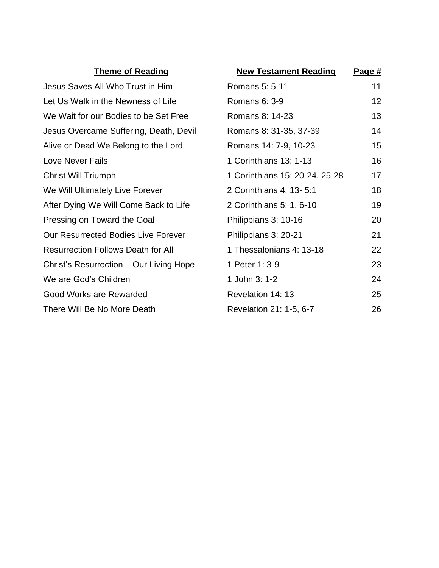| <b>Theme of Reading</b>                    | <b>New Testament Reading</b>   | Page # |
|--------------------------------------------|--------------------------------|--------|
| Jesus Saves All Who Trust in Him           | Romans 5: 5-11                 | 11     |
| Let Us Walk in the Newness of Life         | Romans 6: 3-9                  | 12     |
| We Wait for our Bodies to be Set Free      | Romans 8: 14-23                | 13     |
| Jesus Overcame Suffering, Death, Devil     | Romans 8: 31-35, 37-39         | 14     |
| Alive or Dead We Belong to the Lord        | Romans 14: 7-9, 10-23          | 15     |
| <b>Love Never Fails</b>                    | 1 Corinthians 13: 1-13         | 16     |
| <b>Christ Will Triumph</b>                 | 1 Corinthians 15: 20-24, 25-28 | 17     |
| We Will Ultimately Live Forever            | 2 Corinthians 4: 13- 5:1       | 18     |
| After Dying We Will Come Back to Life      | 2 Corinthians 5: 1, 6-10       | 19     |
| Pressing on Toward the Goal                | Philippians 3: 10-16           | 20     |
| <b>Our Resurrected Bodies Live Forever</b> | Philippians 3: 20-21           | 21     |
| <b>Resurrection Follows Death for All</b>  | 1 Thessalonians 4: 13-18       | 22     |
| Christ's Resurrection - Our Living Hope    | 1 Peter 1: 3-9                 | 23     |
| We are God's Children                      | 1 John 3: 1-2                  | 24     |
| Good Works are Rewarded                    | Revelation 14: 13              | 25     |
| There Will Be No More Death                | Revelation 21: 1-5, 6-7        | 26     |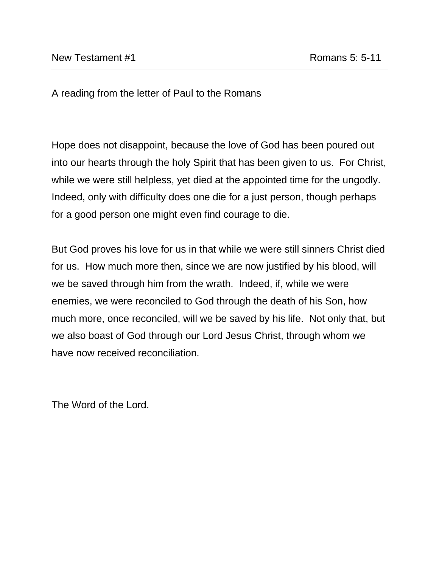A reading from the letter of Paul to the Romans

Hope does not disappoint, because the love of God has been poured out into our hearts through the holy Spirit that has been given to us. For Christ, while we were still helpless, yet died at the appointed time for the ungodly. Indeed, only with difficulty does one die for a just person, though perhaps for a good person one might even find courage to die.

But God proves his love for us in that while we were still sinners Christ died for us. How much more then, since we are now justified by his blood, will we be saved through him from the wrath. Indeed, if, while we were enemies, we were reconciled to God through the death of his Son, how much more, once reconciled, will we be saved by his life. Not only that, but we also boast of God through our Lord Jesus Christ, through whom we have now received reconciliation.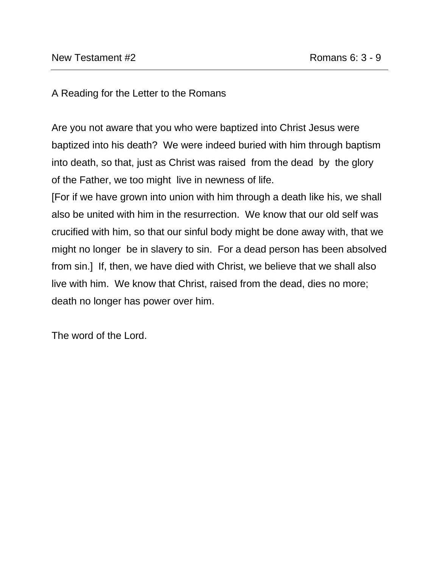## A Reading for the Letter to the Romans

Are you not aware that you who were baptized into Christ Jesus were baptized into his death? We were indeed buried with him through baptism into death, so that, just as Christ was raised from the dead by the glory of the Father, we too might live in newness of life.

[For if we have grown into union with him through a death like his, we shall also be united with him in the resurrection. We know that our old self was crucified with him, so that our sinful body might be done away with, that we might no longer be in slavery to sin. For a dead person has been absolved from sin.] If, then, we have died with Christ, we believe that we shall also live with him. We know that Christ, raised from the dead, dies no more; death no longer has power over him.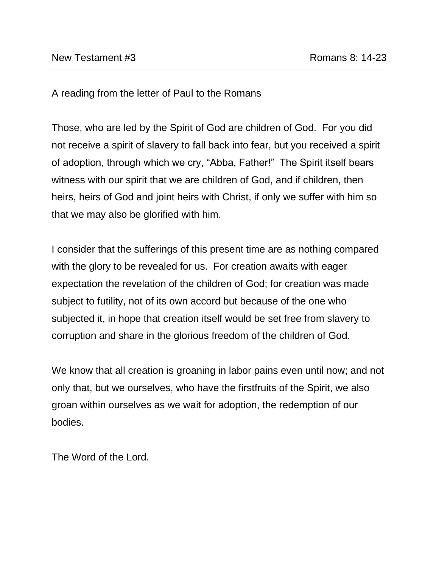## A reading from the letter of Paul to the Romans

Those, who are led by the Spirit of God are children of God. For you did not receive a spirit of slavery to fall back into fear, but you received a spirit of adoption, through which we cry, "Abba, Father!" The Spirit itself bears witness with our spirit that we are children of God, and if children, then heirs, heirs of God and joint heirs with Christ, if only we suffer with him so that we may also be glorified with him.

I consider that the sufferings of this present time are as nothing compared with the glory to be revealed for us. For creation awaits with eager expectation the revelation of the children of God; for creation was made subject to futility, not of its own accord but because of the one who subjected it, in hope that creation itself would be set free from slavery to corruption and share in the glorious freedom of the children of God.

We know that all creation is groaning in labor pains even until now; and not only that, but we ourselves, who have the firstfruits of the Spirit, we also groan within ourselves as we wait for adoption, the redemption of our bodies.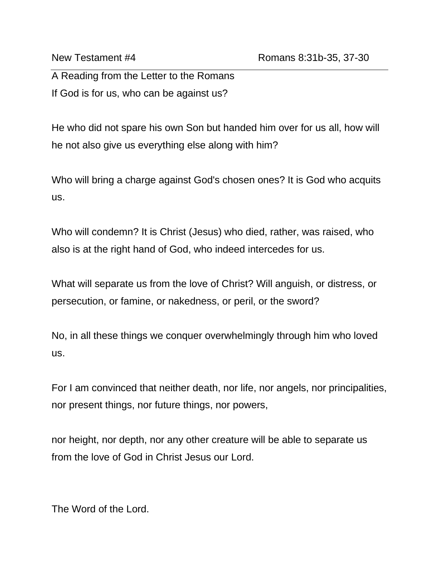A Reading from the Letter to the Romans If God is for us, who can be against us?

He who did not spare his own Son but handed him over for us all, how will he not also give us everything else along with him?

Who will bring a charge against God's chosen ones? It is God who acquits us.

Who will condemn? It is Christ (Jesus) who died, rather, was raised, who also is at the right hand of God, who indeed intercedes for us.

What will separate us from the love of Christ? Will anguish, or distress, or persecution, or famine, or nakedness, or peril, or the sword?

No, in all these things we conquer overwhelmingly through him who loved us.

For I am convinced that neither death, nor life, nor angels, nor principalities, nor present things, nor future things, nor powers,

nor height, nor depth, nor any other creature will be able to separate us from the love of God in Christ Jesus our Lord.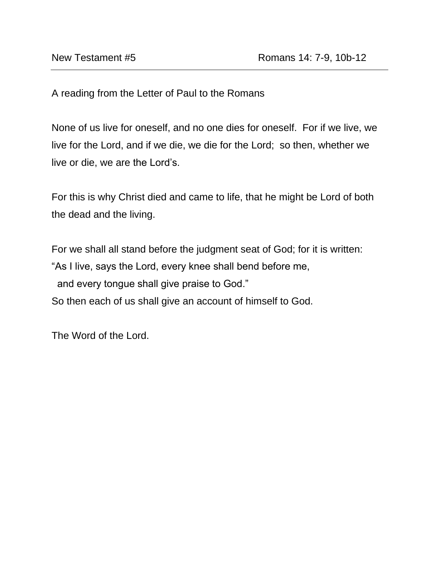A reading from the Letter of Paul to the Romans

None of us live for oneself, and no one dies for oneself. For if we live, we live for the Lord, and if we die, we die for the Lord; so then, whether we live or die, we are the Lord's.

For this is why Christ died and came to life, that he might be Lord of both the dead and the living.

For we shall all stand before the judgment seat of God; for it is written: "As I live, says the Lord, every knee shall bend before me, and every tongue shall give praise to God." So then each of us shall give an account of himself to God.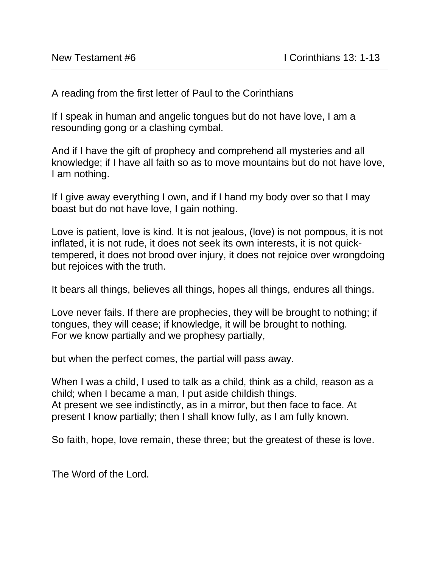A reading from the first letter of Paul to the Corinthians

If I speak in human and angelic tongues but do not have love, I am a resounding gong or a clashing cymbal.

And if I have the gift of prophecy and comprehend all mysteries and all knowledge; if I have all faith so as to move mountains but do not have love, I am nothing.

If I give away everything I own, and if I hand my body over so that I may boast but do not have love, I gain nothing.

Love is patient, love is kind. It is not jealous, (love) is not pompous, it is not inflated, it is not rude, it does not seek its own interests, it is not quicktempered, it does not brood over injury, it does not rejoice over wrongdoing but rejoices with the truth.

It bears all things, believes all things, hopes all things, endures all things.

Love never fails. If there are prophecies, they will be brought to nothing; if tongues, they will cease; if knowledge, it will be brought to nothing. For we know partially and we prophesy partially,

but when the perfect comes, the partial will pass away.

When I was a child, I used to talk as a child, think as a child, reason as a child; when I became a man, I put aside childish things. At present we see indistinctly, as in a mirror, but then face to face. At present I know partially; then I shall know fully, as I am fully known.

So faith, hope, love remain, these three; but the greatest of these is love.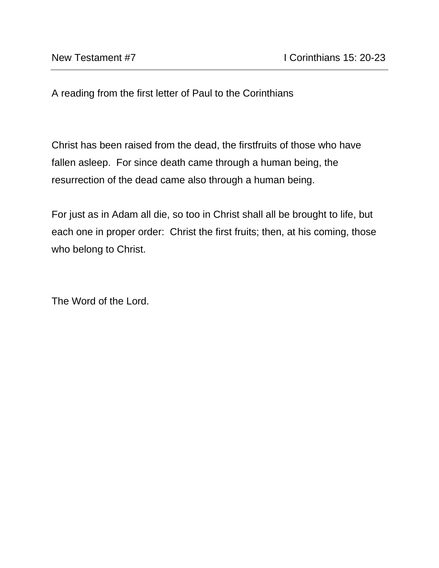A reading from the first letter of Paul to the Corinthians

Christ has been raised from the dead, the firstfruits of those who have fallen asleep. For since death came through a human being, the resurrection of the dead came also through a human being.

For just as in Adam all die, so too in Christ shall all be brought to life, but each one in proper order: Christ the first fruits; then, at his coming, those who belong to Christ.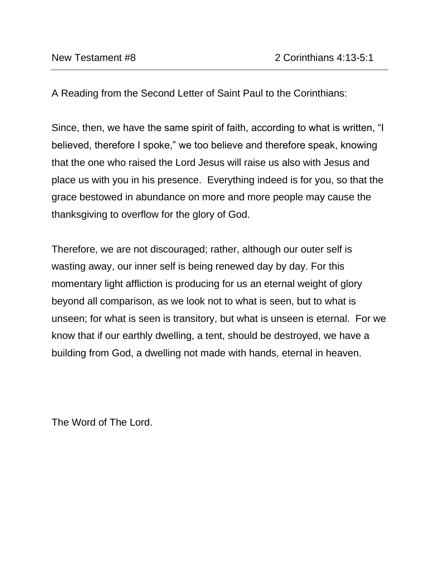A Reading from the Second Letter of Saint Paul to the Corinthians:

Since, then, we have the same spirit of faith, according to what is written, "I believed, therefore I spoke," we too believe and therefore speak, knowing that the one who raised the Lord Jesus will raise us also with Jesus and place us with you in his presence. Everything indeed is for you, so that the grace bestowed in abundance on more and more people may cause the thanksgiving to overflow for the glory of God.

Therefore, we are not discouraged; rather, although our outer self is wasting away, our inner self is being renewed day by day. For this momentary light affliction is producing for us an eternal weight of glory beyond all comparison, as we look not to what is seen, but to what is unseen; for what is seen is transitory, but what is unseen is eternal. For we know that if our earthly dwelling, a tent, should be destroyed, we have a building from God, a dwelling not made with hands, eternal in heaven.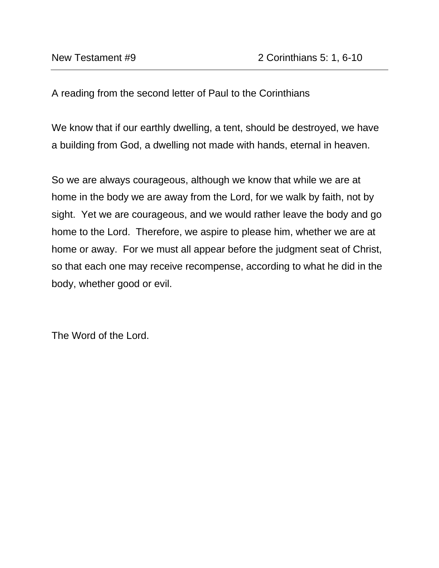## A reading from the second letter of Paul to the Corinthians

We know that if our earthly dwelling, a tent, should be destroyed, we have a building from God, a dwelling not made with hands, eternal in heaven.

So we are always courageous, although we know that while we are at home in the body we are away from the Lord, for we walk by faith, not by sight. Yet we are courageous, and we would rather leave the body and go home to the Lord. Therefore, we aspire to please him, whether we are at home or away. For we must all appear before the judgment seat of Christ, so that each one may receive recompense, according to what he did in the body, whether good or evil.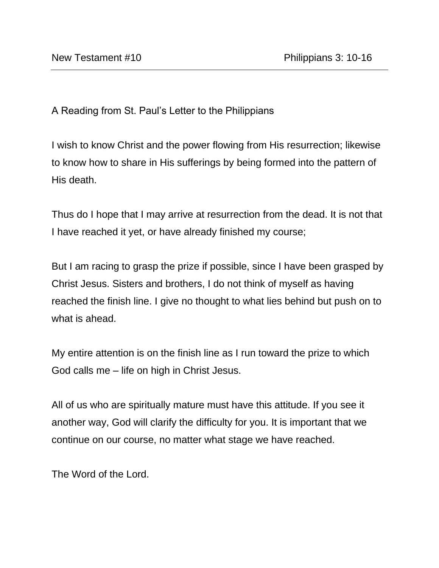A Reading from St. Paul's Letter to the Philippians

I wish to know Christ and the power flowing from His resurrection; likewise to know how to share in His sufferings by being formed into the pattern of His death.

Thus do I hope that I may arrive at resurrection from the dead. It is not that I have reached it yet, or have already finished my course;

But I am racing to grasp the prize if possible, since I have been grasped by Christ Jesus. Sisters and brothers, I do not think of myself as having reached the finish line. I give no thought to what lies behind but push on to what is ahead.

My entire attention is on the finish line as I run toward the prize to which God calls me – life on high in Christ Jesus.

All of us who are spiritually mature must have this attitude. If you see it another way, God will clarify the difficulty for you. It is important that we continue on our course, no matter what stage we have reached.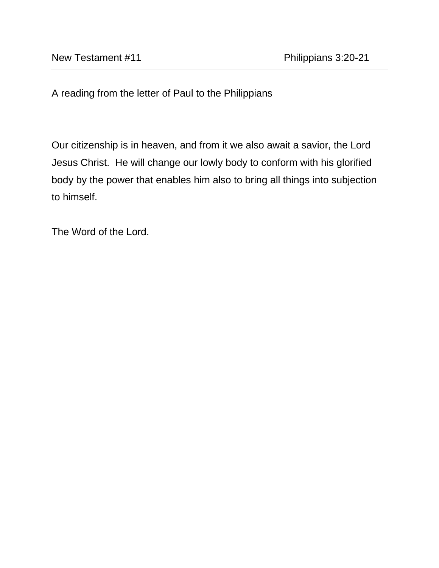A reading from the letter of Paul to the Philippians

Our citizenship is in heaven, and from it we also await a savior, the Lord Jesus Christ. He will change our lowly body to conform with his glorified body by the power that enables him also to bring all things into subjection to himself.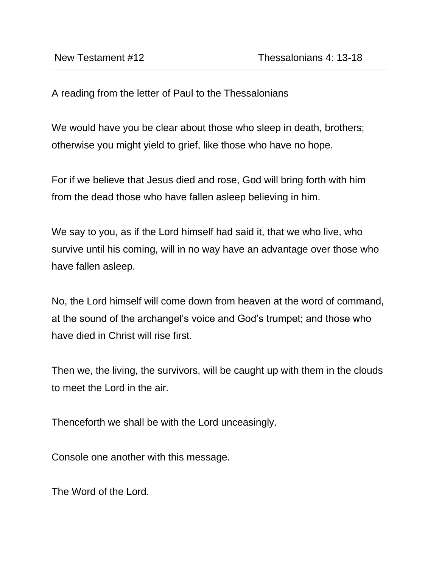A reading from the letter of Paul to the Thessalonians

We would have you be clear about those who sleep in death, brothers; otherwise you might yield to grief, like those who have no hope.

For if we believe that Jesus died and rose, God will bring forth with him from the dead those who have fallen asleep believing in him.

We say to you, as if the Lord himself had said it, that we who live, who survive until his coming, will in no way have an advantage over those who have fallen asleep.

No, the Lord himself will come down from heaven at the word of command, at the sound of the archangel's voice and God's trumpet; and those who have died in Christ will rise first.

Then we, the living, the survivors, will be caught up with them in the clouds to meet the Lord in the air.

Thenceforth we shall be with the Lord unceasingly.

Console one another with this message.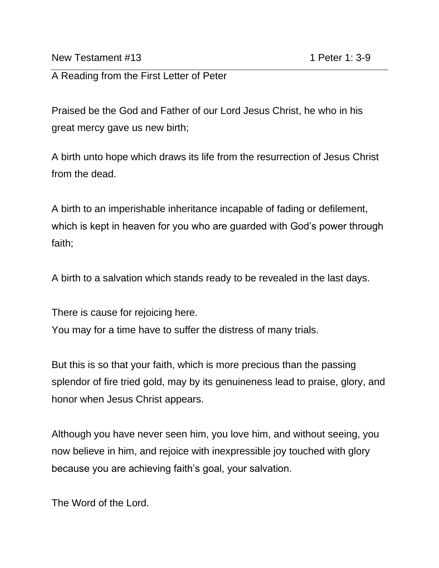New Testament #13 1 Peter 1: 3-9

A Reading from the First Letter of Peter

Praised be the God and Father of our Lord Jesus Christ, he who in his great mercy gave us new birth;

A birth unto hope which draws its life from the resurrection of Jesus Christ from the dead.

A birth to an imperishable inheritance incapable of fading or defilement, which is kept in heaven for you who are guarded with God's power through faith;

A birth to a salvation which stands ready to be revealed in the last days.

There is cause for rejoicing here.

You may for a time have to suffer the distress of many trials.

But this is so that your faith, which is more precious than the passing splendor of fire tried gold, may by its genuineness lead to praise, glory, and honor when Jesus Christ appears.

Although you have never seen him, you love him, and without seeing, you now believe in him, and rejoice with inexpressible joy touched with glory because you are achieving faith's goal, your salvation.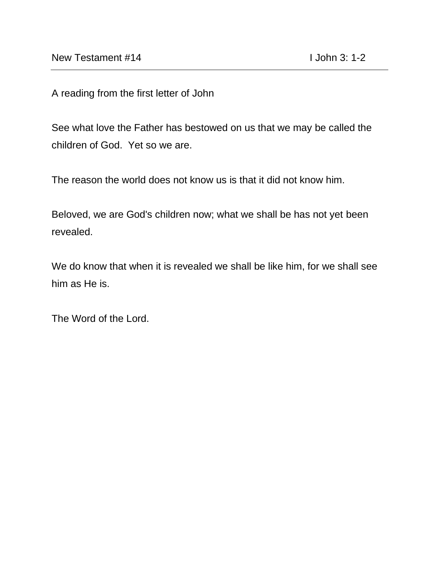A reading from the first letter of John

See what love the Father has bestowed on us that we may be called the children of God. Yet so we are.

The reason the world does not know us is that it did not know him.

Beloved, we are God's children now; what we shall be has not yet been revealed.

We do know that when it is revealed we shall be like him, for we shall see him as He is.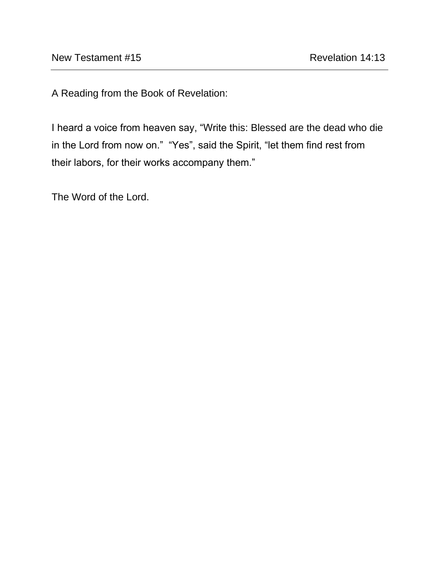A Reading from the Book of Revelation:

I heard a voice from heaven say, "Write this: Blessed are the dead who die in the Lord from now on." "Yes", said the Spirit, "let them find rest from their labors, for their works accompany them."